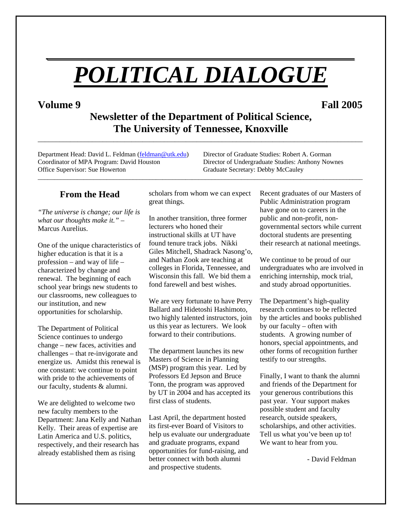# *POLITICAL DIALOGUE*

*\_\_\_\_\_\_\_\_\_\_\_\_\_\_\_\_\_\_\_\_\_\_\_\_\_\_\_\_\_\_\_\_\_\_\_\_\_\_\_*

# **Volume 9 Fall 2005**

**Newsletter of the Department of Political Science, The University of Tennessee, Knoxville** 

\_\_\_\_\_\_\_\_\_\_\_\_\_\_\_\_\_\_\_\_\_\_\_\_\_\_\_\_\_\_\_\_\_\_\_\_\_\_\_\_\_\_\_\_\_\_\_\_\_\_\_\_\_\_\_\_\_\_\_\_\_\_\_\_\_\_\_\_\_\_\_\_\_\_\_\_\_\_\_\_\_\_\_\_\_\_\_\_\_\_

Department Head: David L. Feldman (feldman @utk.edu) Director of Graduate Studies: Robert A. Gorman Coordinator of MPA Program: David Houston Director of Undergraduate Studies: Anthony Nownes Office Supervisor: Sue Howerton Graduate Secretary: Debby McCauley

# **From the Head**

*"The universe is change; our life is what our thoughts make it." –*  Marcus Aurelius.

One of the unique characteristics of higher education is that it is a profession – and way of life – characterized by change and renewal. The beginning of each school year brings new students to our classrooms, new colleagues to our institution, and new opportunities for scholarship.

The Department of Political Science continues to undergo change – new faces, activities and challenges – that re-invigorate and energize us. Amidst this renewal is one constant: we continue to point with pride to the achievements of our faculty, students & alumni.

We are delighted to welcome two new faculty members to the Department: Jana Kelly and Nathan Kelly. Their areas of expertise are Latin America and U.S. politics, respectively, and their research has already established them as rising

scholars from whom we can expect great things.

\_\_\_\_\_\_\_\_\_\_\_\_\_\_\_\_\_\_\_\_\_\_\_\_\_\_\_\_\_\_\_\_\_\_\_\_\_\_\_\_\_\_\_\_\_\_\_\_\_\_\_\_\_\_\_\_\_\_\_\_\_\_\_\_\_\_\_\_\_\_\_\_\_\_\_\_\_\_\_\_\_\_\_\_\_\_\_\_\_\_\_\_\_\_\_\_\_\_\_

In another transition, three former lecturers who honed their instructional skills at UT have found tenure track jobs. Nikki Giles Mitchell, Shadrack Nasong'o, and Nathan Zook are teaching at colleges in Florida, Tennessee, and Wisconsin this fall. We bid them a fond farewell and best wishes.

We are very fortunate to have Perry Ballard and Hidetoshi Hashimoto, two highly talented instructors, join us this year as lecturers. We look forward to their contributions.

The department launches its new Masters of Science in Planning (MSP) program this year. Led by Professors Ed Jepson and Bruce Tonn, the program was approved by UT in 2004 and has accepted its first class of students.

Last April, the department hosted its first-ever Board of Visitors to help us evaluate our undergraduate and graduate programs, expand opportunities for fund-raising, and better connect with both alumni and prospective students.

Recent graduates of our Masters of Public Administration program have gone on to careers in the public and non-profit, nongovernmental sectors while current doctoral students are presenting their research at national meetings.

We continue to be proud of our undergraduates who are involved in enriching internship, mock trial, and study abroad opportunities.

The Department's high-quality research continues to be reflected by the articles and books published by our faculty – often with students. A growing number of honors, special appointments, and other forms of recognition further testify to our strengths.

Finally, I want to thank the alumni and friends of the Department for your generous contributions this past year. Your support makes possible student and faculty research, outside speakers, scholarships, and other activities. Tell us what you've been up to! We want to hear from you.

- David Feldman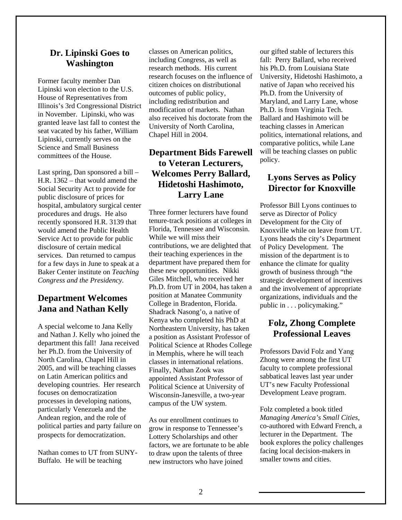#### **Dr. Lipinski Goes to Washington**

Former faculty member Dan Lipinski won election to the U.S. House of Representatives from Illinois's 3rd Congressional District in November. Lipinski, who was granted leave last fall to contest the seat vacated by his father, William Lipinski, currently serves on the Science and Small Business committees of the House.

Last spring, Dan sponsored a bill – H.R. 1362 – that would amend the Social Security Act to provide for public disclosure of prices for hospital, ambulatory surgical center procedures and drugs. He also recently sponsored H.R. 3139 that would amend the Public Health Service Act to provide for public disclosure of certain medical services. Dan returned to campus for a few days in June to speak at a Baker Center institute on *Teaching Congress and the Presidency.*

## **Department Welcomes Jana and Nathan Kelly**

A special welcome to Jana Kelly and Nathan J. Kelly who joined the department this fall! Jana received her Ph.D. from the University of North Carolina, Chapel Hill in 2005, and will be teaching classes on Latin American politics and developing countries. Her research focuses on democratization processes in developing nations, particularly Venezuela and the Andean region, and the role of political parties and party failure on prospects for democratization.

Nathan comes to UT from SUNY-Buffalo. He will be teaching

classes on American politics, including Congress, as well as research methods. His current research focuses on the influence of citizen choices on distributional outcomes of public policy, including redistribution and modification of markets. Nathan also received his doctorate from the University of North Carolina, Chapel Hill in 2004.

# **Department Bids Farewell to Veteran Lecturers, Welcomes Perry Ballard, Hidetoshi Hashimoto, Larry Lane**

Three former lecturers have found tenure-track positions at colleges in Florida, Tennessee and Wisconsin. While we will miss their contributions, we are delighted that their teaching experiences in the department have prepared them for these new opportunities. Nikki Giles Mitchell, who received her Ph.D. from UT in 2004, has taken a position at Manatee Community College in Bradenton, Florida. Shadrack Nasong'o, a native of Kenya who completed his PhD at Northeastern University, has taken a position as Assistant Professor of Political Science at Rhodes College in Memphis, where he will teach classes in international relations. Finally, Nathan Zook was appointed Assistant Professor of Political Science at University of Wisconsin-Janesville, a two-year campus of the UW system.

As our enrollment continues to grow in response to Tennessee's Lottery Scholarships and other factors, we are fortunate to be able to draw upon the talents of three new instructors who have joined

our gifted stable of lecturers this fall: Perry Ballard, who received his Ph.D. from Louisiana State University, Hidetoshi Hashimoto, a native of Japan who received his Ph.D. from the University of Maryland, and Larry Lane, whose Ph.D. is from Virginia Tech. Ballard and Hashimoto will be teaching classes in American politics, international relations, and comparative politics, while Lane will be teaching classes on public policy.

## **Lyons Serves as Policy Director for Knoxville**

Professor Bill Lyons continues to serve as Director of Policy Development for the City of Knoxville while on leave from UT. Lyons heads the city's Department of Policy Development. The mission of the department is to enhance the climate for quality growth of business through "the strategic development of incentives and the involvement of appropriate organizations, individuals and the public in . . . policymaking."

## **Folz, Zhong Complete Professional Leaves**

Professors David Folz and Yang Zhong were among the first UT faculty to complete professional sabbatical leaves last year under UT's new Faculty Professional Development Leave program.

Folz completed a book titled *Managing America's Small Cities,* co-authored with Edward French, a lecturer in the Department. The book explores the policy challenges facing local decision-makers in smaller towns and cities.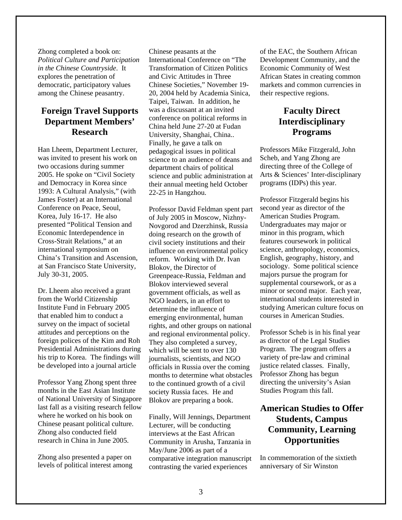Zhong completed a book on: *Political Culture and Participation in the Chinese Countryside*. It explores the penetration of democratic, participatory values among the Chinese peasantry.

# **s Foreign Travel Support ' Department Members Research**

H an Lheem, Department Lecturer, was invited to present his work on two occasions during summer , China's Transition and Ascension at San Francisco State University, 2005. He spoke on "Civil Society and Democracy in Korea since 1993: A Cultural Analysis," (with James Foster) at an International Conference on Peace, Seoul, Korea, July 16-17. He also presented "Political Tension and Economic Interdependence in Cross-Strait Relations," at an international symposium on July 30-31, 2005.

Institute Fund in February 2005 foreign polices of the Kim and Roh Presidential Administrations during his trip to Korea. The findings will Dr. Lheem also received a grant from the World Citizenship that enabled him to conduct a survey on the impact of societal attitudes and perceptions on the be developed into a journal article

Professor Yang Zhong spent three months in the East Asian Institute of National University of Singapore last fall as a visiting research fellow where he worked on his book on Chinese peasant political culture. Zhong also conducted field research in China in June 2005.

levels of political interest among Zhong also presented a paper on

Transformation of Citizen Politics - Chinese Societies," November 19 20, 2004 held by Academia Sinica, conference on political reforms in science and public administration at their annual meeting held October Chinese peasants at the International Conference on "The and Civic Attitudes in Three Taipei, Taiwan. In addition, he was a discussant at an invited China held June 27-20 at Fudan University, Shanghai, China.. Finally, he gave a talk on pedagogical issues in political science to an audience of deans and department chairs of political 22-25 in Hangzhou.

Professor David Feldman spent part doing research on the growth of civil society institutions and their determine the influence of rights, and other groups on national and regional environmental policy. They also completed a survey, which will be sent to over 130 to the continued growth of a civil of July 2005 in Moscow, Nizhny-Novgorod and Dzerzhinsk, Russia influence on environmental policy reform. Working with Dr. Ivan Blokov, the Director of Greenpeace-Russia, Feldman and Blokov interviewed several government officials, as well as NGO leaders, in an effort to emerging environmental, human journalists, scientists, and NGO officials in Russia over the coming months to determine what obstacles society Russia faces. He and Blokov are preparing a book.

Community in Arusha, Tanzania in May/June 2006 as part of a contrasting the varied experiences Finally, Will Jennings, Department Lecturer, will be conducting interviews at the East African comparative integration manuscript

of the EAC, the Southern African Economic Community of West Development Community, and the African States in creating common markets and common currencies in their respective regions.

## **Faculty Direct Interdisciplinary Programs**

Professors Mike Fitzgerald, John Scheb , and Yang Zhong are directing three of the College of Arts & Sciences' Inter-disciplinary programs (IDPs) this year.

Professor Fitzgerald begins his Undergraduates may major or minor in this program, which science, anthropology, economics, English, geography, history, and sociology. Some political science second year as director of the American Studies Program. features coursework in political majors pursue the program for supplemental coursework, or as a minor or second major. Each year, international students interested in studying American culture focus on courses in American Studies.

justice related classes. Finally, Professor Scheb is in his final year as director of the Legal Studies Program. The program offers a variety of pre-law and criminal Professor Zhong has begun directing the university's Asian Studies Program this fall.

# **American Studies to Offer Opportunities Students, Campus Community, Learning**

anniv ersary of Sir Winston In commemoration of the sixtieth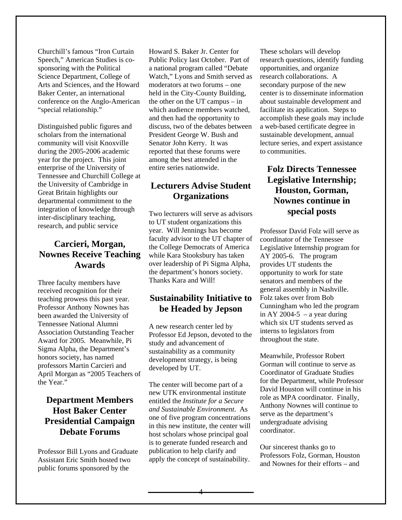Ch urchill's famous "Iron Curtain Sp eech," American Studies is cosponsor ing with the Political Science Department, College of Arts and Sciences, and the Howard Baker Center, an international conference on the Anglo-American "special relationship."

year for the project. This joint Tennessee and Churchill College at integration of knowledge through Distinguished public figures and scholars from the international community will visit Knoxville during the 2005-2006 academic enterprise of the University of the University of Cambridge in Great Britain highlights our departmental commitment to the inter-disciplinary teaching, research, and public service

# **Carcieri, Morgan, Nownes Receive Teaching Awards**

Three faculty members have receiv ed recognition for their Professor Anthony Nownes has been awarded the University of **Association Outstanding Teacher** April Morgan as "2005 Teachers of teaching prowess this past year. Tennessee National Alumni Award for 2005. Meanwhile, Pi Sigma Alpha, the Department's honors society, has named professors Martin Carcieri and the Year."

# **Debate Forums Department Members Host Baker Center Presidential Campaign**

Pr ofessor Bill Lyons and Graduate Assi stant Eric Smith hosted two public forums sponsored by the

H oward S. Baker Jr. Center for Pu blic Policy last October. Part of a natio nal program called "Debate Watch," Lyons and Smith served as held in the City-County Building, which audience members watched, moderators at two forums – one the other on the UT campus – in and then had the opportunity to discuss, two of the debates between President George W. Bush and Senator John Kerry. It was reported that these forums were among the best attended in the entire series nationwide.

# **Lecturers Advise Student Organizations**

Two lecturers will serve as advisors year. Will Jennings has become while Kara Stooksbury has taken over leadership of Pi Sigma Alpha, to UT student organizations this faculty advisor to the UT chapter of the College Democrats of America the department's honors society. Thanks Kara and Will!

## **Sustainability Initiative to be Headed by Jepson**

Professor Ed Jepson, devoted to the dev eloped by UT. A new research center led by study and advancement of sustainability as a community development strategy, is being

The center will become part of a entitled the *Institute for a Secure* and Sustainable Environment. As one of five program concentrations in this new institute, the center will host scholars whose principal goal apply the concept of sustainability. new UTK environmental institute is to generate funded research and publication to help clarify and

These scholars will develop research questions, identify funding opportunities, and organize research collaborations. A secondary purpose of the new center is to disseminate information about sustainable development and facilitate its application. Steps to accomplish these goals may include a web-based certificate degree in sustainable development, annual lecture series, and expert assistance to communities.

# **Folz Directs Tennessee Legislative Internship; Houston, Gorman, Nownes continue in special posts**

Professor David Folz will serve as oordinator of the Tennessee c Le gislative Internship program for AY 2005-6. The program pr ovides UT students the oppo rtunity to work for state sena tors and members of the general assembly in Nashville. Folz takes over from Bob Cunningham who led the program in AY 2004-5 – a year during which six UT students served as interns to legislators from throughout the state.

role as MPA coordinator. Finally, undergraduate advising Meanwhile, Professor Robert Gorman will continue to serve as Coordinator of Graduate Studies for the Department, while Professor David Houston will continue in his Anthony Nownes will continue to serve as the department's coordinator.

Our sincerest thanks go to Professors Folz, Gorman, Houston and Nownes for their efforts – and

4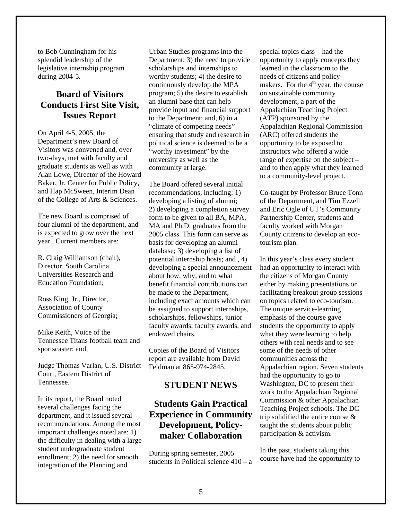to Bob Cunningham for his splendid leadership of the legislative internship progr am during 2004-5.

## **Board of Visitors Conducts First Site Visit, Issues Report**

Visitors was convened and, over two-days, met with faculty and graduate students as well as with A lan Lowe, Director of the Howard B aker, Jr. Center for Public Policy, and Hap McSween, Interim Dean of the College of Arts & Sciences. On April 4-5, 2005, the Department's new Board of

The new Board is comprised of four alumni of the department, and is expected to grow over the next year. Current members are:

**Education Foundation;** R. Craig Williamson (chair), Director, South Carolina Universities Research and

Ross King, Jr., Director, Association of County Commissioners of Georgia;

Tennessee Titans football team and Mike Keith, Voice of the sportscaster; and,

Judge Thomas Varlan, U.S. District Court, Eastern District of Tennessee.

In its report, the Board noted several challenges facing the recommendations. Among the most important challenges noted are: 1) student undergraduate student enrollment; 2) the need for smooth integration of the Planning and department, and it issued several the difficulty in dealing with a large

Urban Studies programs into the Department; 3) the need to provide political science is deemed to be a scholarships and internships to worthy students; 4) the desire to continuously develop the MPA program; 5) the desire to establish an alumni base that can help provide input and financial support to the Department; and, 6) in a "climate of competing needs" ensuring that study and research in "worthy investment" by the university as well as the community at large.

MA and Ph.D. graduates from the 2005 class. This form can serve as basis for developing an alumni database; 3) developing a list of faculty awards, faculty awards, and The Board offered several initial recommendations, including: 1) developing a listing of alumni; 2) developing a completion survey form to be given to all BA, MPA, potential internship hosts; and , 4) developing a special announcement about how, why, and to what benefit financial contributions can be made to the Department, including exact amounts which can be assigned to support internships, scholarships, fellowships, junior endowed chairs.

Copies of the Board of Visitors report are available from David Feldman at 865-974-2845.

#### **STUDENT NEWS**

# **Experience in Community Students Gain Practical Development, Policymaker Collaboration**

During spring semester, 2005 students in Political science  $410 - a$ 

special topics class – had the o pportunity to apply concepts they makers. For the  $4<sup>th</sup>$  year, the course on sustainable community development, a part of the Appalachian Regional Commission instructors who offered a wide and to then apply what they learned to a community-level project. learned in the classroom to the needs of citizens and policy-Appalachian Teaching Project (ATP) sponsored by the (ARC) offered students the opportunity to be exposed to range of expertise on the subject –

Co-taught by Professor Bruce Tonn and Eric Ogle of UT's Community Partnership Center, students and of the Department, and Tim Ezzell faculty worked with Morgan County citizens to develop an ecotourism plan.

In this year's class every student facilitating breakout group sessions on topics related to eco-tourism. emphasis of the course gave students the opportunity to apply Washington, DC to present their work to the Appalachian Regional Teaching Project schools. The DC taught the students about public  participation & activism. had an opportunity to interact with the citizens of Morgan County either by making presentations or The unique service-learning what they were learning to help others with real needs and to see some of the needs of other communities across the Appalachian region. Seven students had the opportunity to go to Commission & other Appalachian trip solidified the entire course &

In the past, students taking this course have had the opportunity to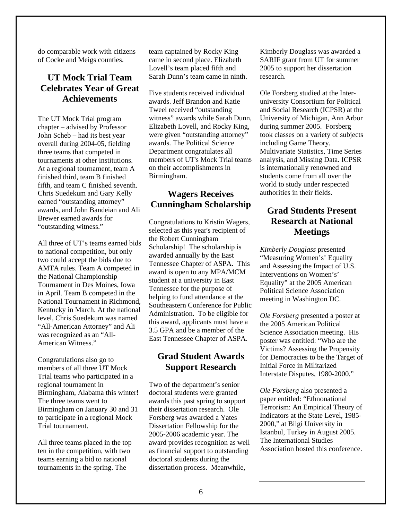do comparable work with citizens of Cocke and Meigs counties.

## **UT Mock Trial Team Celebrates Year of Great Achievements**

John Scheb - had its best year ove rall during 2004-05, fielding t hree teams that competed in t ournaments at other institutions. At a regional tournament, team A finished third, team B finished fifth, and team C finished seventh. awards, and John Bandeian and Ali The UT Mock Trial program chapter – advised by Professor Chris Suedekum and Gary Kelly earned "outstanding attorney" Brewer earned awards for "outstanding witness."

All three of UT's teams earned bids AMTA rules. Team A competed in Tournament in Des Moines, Iowa in April. Team B competed in the National Tournament in Richmond, to national competition, but only two could accept the bids due to the National Championship Kentucky in March. At the national level, Chris Suedekum was named "All-American Attorney" and Ali was recognized as an "All-American Witness."

 Birmingham, Alabama this winter! Birmingham on January 30 and 31 to participate in a regional Mock Congratulations also go to members of all three UT Mock Trial teams who participated in a regional tournament in The three teams went to Trial tournament.

ten in the competition, with two tournaments in the spring. The All three teams placed in the top teams earning a bid to national

Lovell's team placed fifth and Sarah Dunn's team came in ninth. team captained by Rocky King came in second place. Elizabeth

witness" awards while Sarah Dunn, Elizabeth Lovell, and Rocky King, were given "outstanding attorney" Department congratulates all members of UT's Mock Trial teams Five students received individual awards. Jeff Brandon and Katie Tweel received "outstanding awards. The Political Science on their accomplishments in Birmingham.

#### **Wagers Receives Cunningham Scholarship**

Scholarship! The scholarship is awarded annually by the East T ennessee Chapter of ASPA. This student at a university in East Southeastern Conference for Public Administration. To be eligible for this award, applicants must have a Congratulations to Kristin Wagers, selected as this year's recipient of the Robert Cunningham award is open to any MPA/MCM Tennessee for the purpose of helping to fund attendance at the 3.5 GPA and be a member of the East Tennessee Chapter of ASPA.

#### **Grad Student Awards Support Research**

Forsberg was awarded a Yates Di ssertation Fellowship for the 2005- 2006 academic year. The award provides recognition as well as financial support to outstanding Two of the department's senior doctoral students were granted awards this past spring to support their dissertation research. Ole doctoral students during the dissertation process. Meanwhile,

Kimberly Douglass was awarded a SARIF grant from UT for summer 2005 to support her dissertation research.

university Consortium for Political and Social Research (ICPSR) at the took classes on a variety of subjects including Game Theory, Multivariate Statistics, Time Series Ole Forsberg studied at the Inter-University of Michigan, Ann Arbor during summer 2005. Forsberg analysis, and Missing Data. ICPSR is internationally renowned and students come from all over the world to study under respected authorities in their fields.

# **Grad Students Present Research at National Meetings**

"Measuring Women's' Equality and Assessing the Impact of U.S. In terventions on Women's' Eq uality" at the 2005 American Pol itical Science Association meeting in Washington DC. *Kimberly Douglass* presented

Ole Forsberg presented a poster at poster was entitled: "Who are the Victims? Assessing the Propensity for Democracies to be the Target of Interstate Disputes, 1980-2000." the 2005 American Political Science Association meeting. His Initial Force in Militarized

Terrorism: An Empirical Theory of Istanbul, Turkey in August 2005. Association hosted this conference. *Ole Forsberg* also presented a paper entitled: "Ethnonational Indicators at the State Level, 1985- 2000," at Bilgi University in The International Studies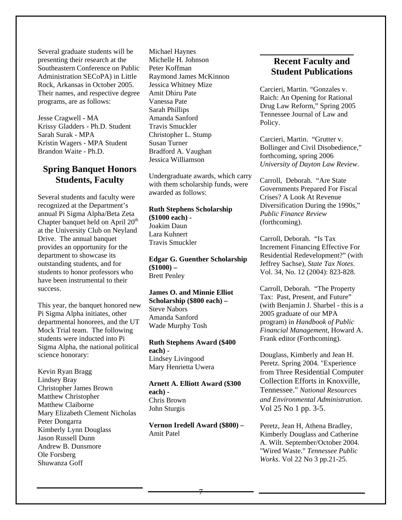Several graduate students will be presenting their research at the Southeastern Conference on P ublic Administration SECoPA) in Little Rock, Arkansas in Octobe r 2005. Their names, and respective degree programs, are as follows:

Jesse Cragwell - MA Krissy Gladders - Ph.D. Student Sarah Surak - MPA Kristin Wagers - MPA Student Brandon Waite - Ph.D.

#### **Students, Faculty Spring Banquet Honors**

Several students and faculty were annual Pi Sigma Alpha/Beta Zeta Chapter banquet held on April 20<sup>th</sup> at the University Club on Neyland Drive. The annual banquet p rovides an opportunity for the depart ment to showcase its outsta nding students, and for recognized at the Department's students to honor professors who have been instrumental to their success.

departmental honorees, and the UT Sigma Alpha, the national political This year, the banquet honored new Pi Sigma Alpha initiates, other Mock Trial team. The following students were inducted into Pi science honorary:

Kevin Ryan Bragg Andrew B. Dunsmore Lindsey Bray Christopher James Brown Matthew Christopher Matthew Claiborne Mary Elizabeth Clement Nicholas Peter Dongarra Kimberly Lynn Douglass Jason Russell Dunn Ole Forsberg Shuwanza Goff

Michael Haynes Michelle H. Johnson Raymond James McKinnon Travis Smuckler Christopher L. Stump Peter Koffman Jessica Whitney Mize Amit Dhiru Pate Vanessa Pate Sarah Phillips Amanda Sanford Susan Turner Bradford A. Vaughan Jessica Williamson

Undergraduate awards, which carry with them scholarship funds, were awarded as follows:

#### **Ruth Stephens Scholarship (\$1000 each) -**  Joakim Daun

Lara Kuhnert Travis Smuckler

**Edgar G. Guenther Scholarship (\$1000) –**  Brett Penley

#### **James O. and Minnie Elliot** Amanda Sanford Wade Murphy Tosh **Scholarship (\$800 each) –**  Steve Nabors

**Ruth Stephens Award (\$400 each) -** 

Mary Henrietta Uwera Lindsey Livingood

#### **0 Arnett A. Elliott Award (\$30 each) -**  Chris Brown John Sturgis

Vernon Iredell Award (\$800) -Amit Patel

# **Student Publications Recent Faculty and**

\_\_\_\_\_\_\_\_\_\_\_\_\_\_\_\_\_\_\_\_\_\_\_\_\_\_

Carcieri, Martin. "Gonzales v. Tennessee Journal of Law and Policy. Raich: An Opening for Rational Drug Law Reform," Spring 2005

Carcieri, Martin. "Grutter v. Bollinger and Civil Disobedience," forthcoming, spring 2006 *University of Dayton Law Review*.

Carr oll, Deborah. "Are State Gov ernments Prepared For Fiscal Crises? A Look At Revenue Diversification During the 1990s," *Public Finance Review* (forthcoming).

Increment Financing Effective For Residential Redevelopment?" (with Carroll, Deborah. "Is Tax Jeffrey Sachse), *State Tax Notes*. Vol. 34, No. 12 (2004): 823-828.

(with Benjamin J. Sharbel - this is a Frank editor (Forthcoming). Carroll, Deborah. "The Property Tax: Past, Present, and Future" 2005 graduate of our MPA program) in *Handbook of Public Financial Management*, Howard A.

Douglass, Kimberly and Jean H. *nd Environmental Administration*. *a* Peretz. Spring 2004. "Experience from Three Residential Computer Collection Efforts in Knoxville, Tennessee." *National Resources*  Vol 25 No 1 pp. 3-5.

Kimberly Douglass and Catherine . A. Wilt. September/October 2004 . *Works*. Vol 22 No 3 pp.21-25 Peretz, Jean H, Athena Bradley, "Wired Waste." *Tennessee Public*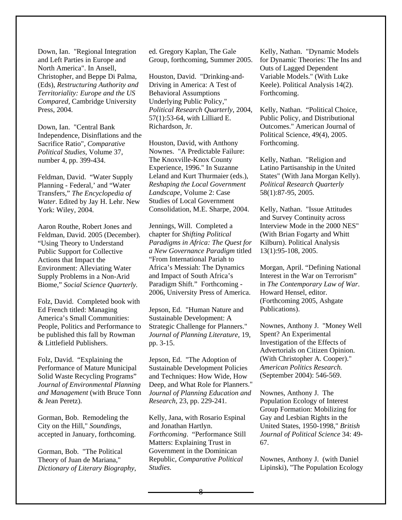Down, Ian. "Regional Integration" and Left Parties in Europe and North America". In Ansell, Christopher, and Beppe Di Palma, (Eds), Restructuring Authority and Territoriality: Europe and the US Compared, Cambridge University Press, 2004.

Down, Ian. "Central Bank Independence, Disinflations and the Sacrifice Ratio", Comparative Political Studies, Volume 37, number 4, pp. 399-434.

Feldman, David. "Water Supply Planning - Federal,' and "Water Transfers," The Encyclopedia of Water. Edited by Jay H. Lehr. New York: Wiley, 2004.

Aaron Routhe, Robert Jones and Feldman, David. 2005 (December). "Using Theory to Understand **Public Support for Collective** Actions that Impact the **Environment: Alleviating Water** Supply Problems in a Non-Arid Biome," Social Science Quarterly.

Folz, David. Completed book with Ed French titled: Managing America's Small Communities: People, Politics and Performance to be published this fall by Rowman & Littlefield Publishers.

Folz, David. "Explaining the Performance of Mature Municipal Solid Waste Recycling Programs" Journal of Environmental Planning and Management (with Bruce Tonn & Jean Peretz).

Gorman, Bob. Remodeling the City on the Hill," Soundings, accepted in January, forthcoming.

Gorman, Bob. "The Political Theory of Juan de Mariana," Dictionary of Literary Biography, ed. Gregory Kaplan, The Gale Group, forthcoming, Summer 2005.

Houston, David. "Drinking-and-Driving in America: A Test of **Behavioral Assumptions** Underlying Public Policy," Political Research Quarterly, 2004, 57(1):53-64, with Lilliard E. Richardson, Jr.

Houston, David, with Anthony Nownes. "A Predictable Failure: The Knoxville-Knox County Experience, 1996." In Suzanne Leland and Kurt Thurmaier (eds.), Reshaping the Local Government Landscape, Volume 2: Case **Studies of Local Government** Consolidation, M.E. Sharpe, 2004.

Jennings, Will. Completed a chapter for Shifting Political Paradigms in Africa: The Ouest for a New Governance Paradigm titled "From International Pariah to Africa's Messiah: The Dynamics and Impact of South Africa's Paradigm Shift." Forthcoming -2006, University Press of America.

Jepson, Ed. "Human Nature and Sustainable Development: A Strategic Challenge for Planners." Journal of Planning Literature, 19, pp. 3-15.

Jepson, Ed. "The Adoption of **Sustainable Development Policies** and Techniques: How Wide, How Deep, and What Role for Planners." Journal of Planning Education and Research, 23, pp. 229-241.

Kelly, Jana, with Rosario Espinal and Jonathan Hartlyn. Forthcoming. "Performance Still Matters: Explaining Trust in Government in the Dominican Republic, Comparative Political Studies.

Kelly, Nathan. "Dynamic Models for Dynamic Theories: The Ins and Outs of Lagged Dependent Variable Models." (With Luke Keele). Political Analysis 14(2). Forthcoming.

Kelly, Nathan. "Political Choice, Public Policy, and Distributional Outcomes." American Journal of Political Science, 49(4), 2005. Forthcoming.

Kelly, Nathan. "Religion and Latino Partisanship in the United States" (With Jana Morgan Kelly). Political Research Quarterly 58(1):87-95, 2005.

Kelly, Nathan. "Issue Attitudes and Survey Continuity across Interview Mode in the 2000 NES" (With Brian Fogarty and Whitt) Kilburn). Political Analysis  $13(1):95-108, 2005.$ 

Morgan, April. "Defining National Interest in the War on Terrorism" in The Contemporary Law of War. Howard Hensel, editor. (Forthcoming 2005, Ashgate) Publications).

Nownes, Anthony J. "Money Well Spent? An Experimental Investigation of the Effects of Advertorials on Citizen Opinion. (With Christopher A. Cooper)." American Politics Research. (September 2004): 546-569.

Nownes, Anthony J. The Population Ecology of Interest Group Formation: Mobilizing for Gay and Lesbian Rights in the United States, 1950-1998," British Journal of Political Science 34: 49-67.

Nownes, Anthony J. (with Daniel) Lipinski), "The Population Ecology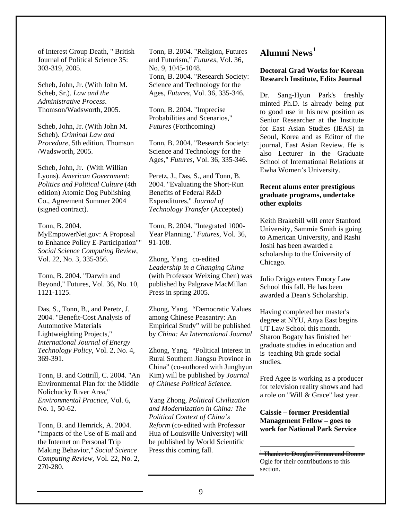of Interest Group Death, " British Journal of Political Science 35: 303-319, 2005.

Scheb, John, Jr. (With John M. Scheb, Sr.). Law and the Administrative Process. Thomson/Wadsworth, 2005.

Scheb, John, Jr. (With John M. Scheb). Criminal Law and *Procedure.* 5th edition. Thomson /Wadsworth, 2005.

Scheb, John, Jr. (With Willian Lyons). American Government: Politics and Political Culture (4th edition) Atomic Dog Publishing Co., Agreement Summer 2004 (signed contract).

#### Tonn, B. 2004. MyEmpowerNet.gov: A Proposal to Enhance Policy E-Participation"" Social Science Computing Review, Vol. 22, No. 3, 335-356.

Tonn, B. 2004. "Darwin and Beyond," Futures, Vol. 36, No. 10, 1121-1125.

Das, S., Tonn, B., and Peretz, J. 2004. "Benefit-Cost Analysis of **Automotive Materials** Lightweighting Projects," **International Journal of Energy** Technology Policy, Vol. 2, No. 4, 369-391.

Tonn, B. and Cottrill, C. 2004. "An Environmental Plan for the Middle Nolichucky River Area," Environmental Practice, Vol. 6, No. 1, 50-62.

Tonn, B. and Hemrick, A. 2004. "Impacts of the Use of E-mail and the Internet on Personal Trip Making Behavior," Social Science Computing Review, Vol. 22, No. 2, 270-280.

Tonn, B. 2004. "Religion, Futures and Futurism," Futures, Vol. 36, No. 9, 1045-1048. Tonn, B. 2004. "Research Society: Science and Technology for the Ages, *Futures*, Vol. 36, 335-346.

Tonn, B. 2004. "Imprecise Probabilities and Scenarios," **Futures** (Forthcoming)

Tonn, B. 2004. "Research Society: Science and Technology for the Ages," Futures, Vol. 36, 335-346.

Peretz, J., Das, S., and Tonn, B. 2004. "Evaluating the Short-Run Benefits of Federal R&D Expenditures," Journal of Technology Transfer (Accepted)

Tonn, B. 2004. "Integrated 1000-Year Planning," Futures, Vol. 36, 91-108.

Zhong, Yang. co-edited Leadership in a Changing China (with Professor Weixing Chen) was published by Palgrave MacMillan Press in spring 2005.

Zhong, Yang. "Democratic Values among Chinese Peasantry: An Empirical Study" will be published by China: An International Journal

Zhong, Yang. "Political Interest in Rural Southern Jiangsu Province in China" (co-authored with Junghyun Kim) will be published by *Journal* of Chinese Political Science.

Yang Zhong, Political Civilization and Modernization in China: The Political Context of China's Reform (co-edited with Professor Hua of Louisville University) will be published by World Scientific Press this coming fall.

#### Alumni News<sup>1</sup>

#### **Doctoral Grad Works for Korean Research Institute, Edits Journal**

Dr. Sang-Hyun Park's freshly minted Ph.D. is already being put to good use in his new position as Senior Researcher at the Institute for East Asian Studies (IEAS) in Seoul. Korea and as Editor of the journal, East Asian Review. He is also Lecturer in the Graduate School of International Relations at Ewha Women's University.

#### Recent alums enter prestigious graduate programs, undertake other exploits

Keith Brakebill will enter Stanford University, Sammie Smith is going to American University, and Rashi Joshi has been awarded a scholarship to the University of Chicago.

Julio Driggs enters Emory Law School this fall. He has been awarded a Dean's Scholarship.

Having completed her master's degree at NYU, Anya East begins UT Law School this month. Sharon Bogaty has finished her graduate studies in education and is teaching 8th grade social studies.

Fred Agee is working as a producer for television reality shows and had a role on "Will & Grace" last year.

**Caissie – former Presidential Management Fellow - goes to** work for National Park Service

 $\frac{1}{2}$ Thanks to Douglas Finnan and Donna-Ogle for their contributions to this section.